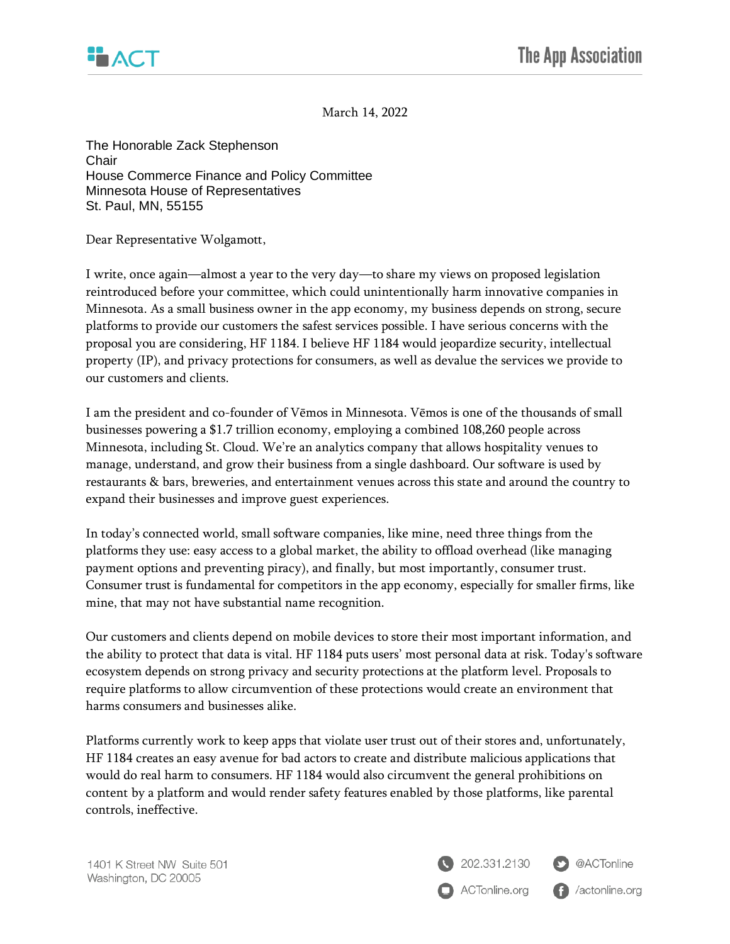

March 14, 2022

The Honorable Zack Stephenson **Chair** House Commerce Finance and Policy Committee Minnesota House of Representatives St. Paul, MN, 55155

Dear Representative Wolgamott,

I write, once again—almost a year to the very day—to share my views on proposed legislation reintroduced before your committee, which could unintentionally harm innovative companies in Minnesota. As a small business owner in the app economy, my business depends on strong, secure platforms to provide our customers the safest services possible. I have serious concerns with the proposal you are considering, HF 1184. I believe HF 1184 would jeopardize security, intellectual property (IP), and privacy protections for consumers, as well as devalue the services we provide to our customers and clients.

I am the president and co-founder of Vēmos in Minnesota. Vēmos is one of the thousands of small businesses powering a \$1.7 trillion economy, employing a combined 108,260 people across Minnesota, including St. Cloud. We're an analytics company that allows hospitality venues to manage, understand, and grow their business from a single dashboard. Our software is used by restaurants & bars, breweries, and entertainment venues across this state and around the country to expand their businesses and improve guest experiences.

In today's connected world, small software companies, like mine, need three things from the platforms they use: easy access to a global market, the ability to offload overhead (like managing payment options and preventing piracy), and finally, but most importantly, consumer trust. Consumer trust is fundamental for competitors in the app economy, especially for smaller firms, like mine, that may not have substantial name recognition.

Our customers and clients depend on mobile devices to store their most important information, and the ability to protect that data is vital. HF 1184 puts users' most personal data at risk. Today's software ecosystem depends on strong privacy and security protections at the platform level. Proposals to require platforms to allow circumvention of these protections would create an environment that harms consumers and businesses alike.

Platforms currently work to keep apps that violate user trust out of their stores and, unfortunately, HF 1184 creates an easy avenue for bad actors to create and distribute malicious applications that would do real harm to consumers. HF 1184 would also circumvent the general prohibitions on content by a platform and would render safety features enabled by those platforms, like parental controls, ineffective.



**f** /actonline.org